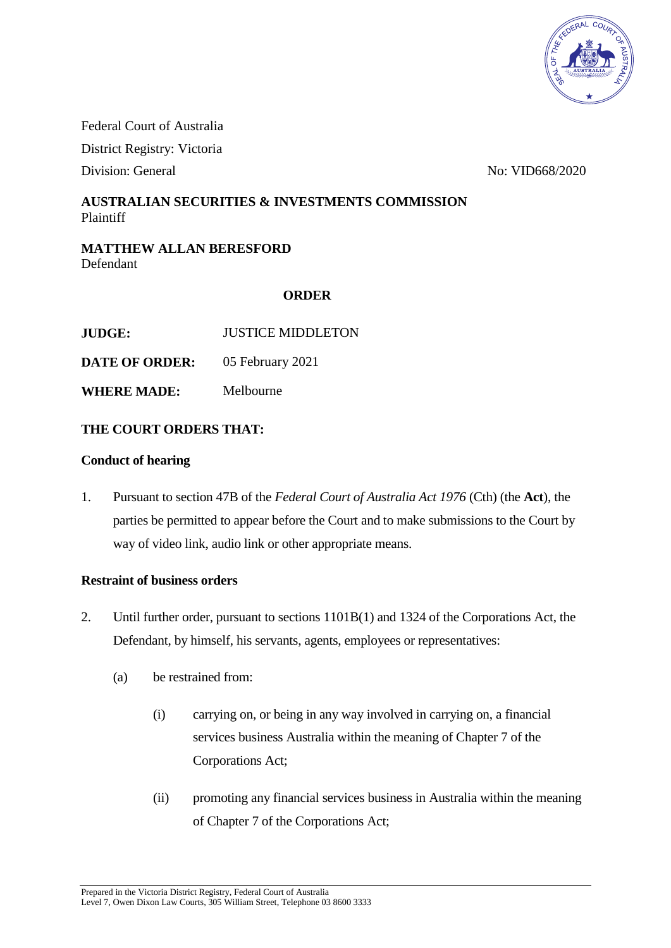

Federal Court of Australia District Registry: Victoria

Division: General No: VID668/2020

# **AUSTRALIAN SECURITIES & INVESTMENTS COMMISSION** Plaintiff

# **MATTHEW ALLAN BERESFORD** Defendant

# **ORDER**

**JUDGE:** JUSTICE MIDDLETON

**DATE OF ORDER:** 05 February 2021

**WHERE MADE:** Melbourne

# **THE COURT ORDERS THAT:**

#### **Conduct of hearing**

1. Pursuant to section 47B of the *Federal Court of Australia Act 1976* (Cth) (the **Act**), the parties be permitted to appear before the Court and to make submissions to the Court by way of video link, audio link or other appropriate means.

# **Restraint of business orders**

- 2. Until further order, pursuant to sections 1101B(1) and 1324 of the Corporations Act, the Defendant, by himself, his servants, agents, employees or representatives:
	- (a) be restrained from:
		- (i) carrying on, or being in any way involved in carrying on, a financial services business Australia within the meaning of Chapter 7 of the Corporations Act;
		- (ii) promoting any financial services business in Australia within the meaning of Chapter 7 of the Corporations Act;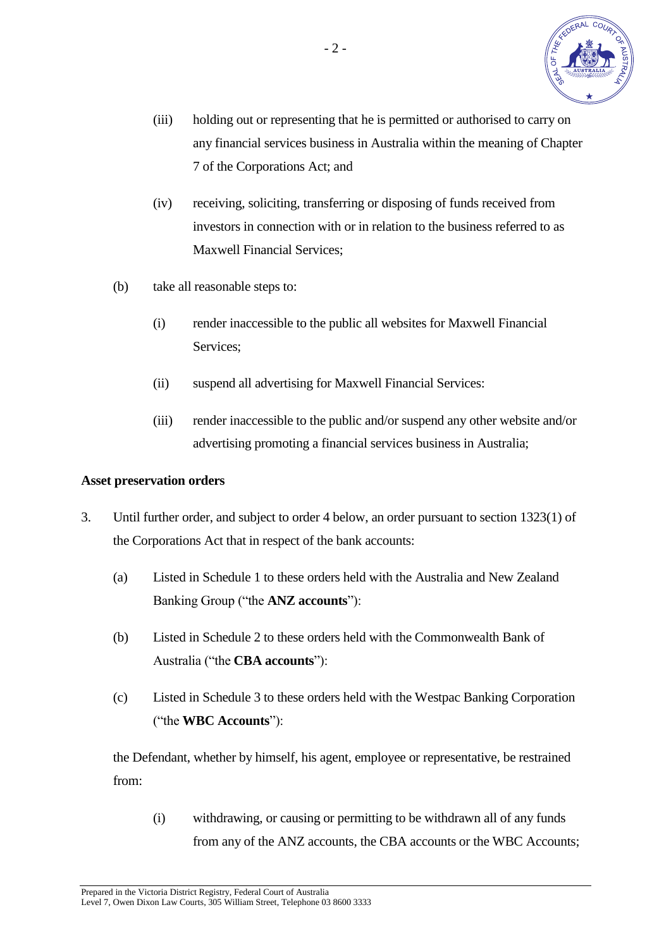

- (iii) holding out or representing that he is permitted or authorised to carry on any financial services business in Australia within the meaning of Chapter 7 of the Corporations Act; and
- (iv) receiving, soliciting, transferring or disposing of funds received from investors in connection with or in relation to the business referred to as Maxwell Financial Services;
- (b) take all reasonable steps to:
	- (i) render inaccessible to the public all websites for Maxwell Financial Services;
	- (ii) suspend all advertising for Maxwell Financial Services:
	- (iii) render inaccessible to the public and/or suspend any other website and/or advertising promoting a financial services business in Australia;

#### **Asset preservation orders**

- 3. Until further order, and subject to order 4 below, an order pursuant to section 1323(1) of the Corporations Act that in respect of the bank accounts:
	- (a) Listed in Schedule 1 to these orders held with the Australia and New Zealand Banking Group ("the **ANZ accounts**"):
	- (b) Listed in Schedule 2 to these orders held with the Commonwealth Bank of Australia ("the **CBA accounts**"):
	- (c) Listed in Schedule 3 to these orders held with the Westpac Banking Corporation ("the **WBC Accounts**"):

the Defendant, whether by himself, his agent, employee or representative, be restrained from:

(i) withdrawing, or causing or permitting to be withdrawn all of any funds from any of the ANZ accounts, the CBA accounts or the WBC Accounts;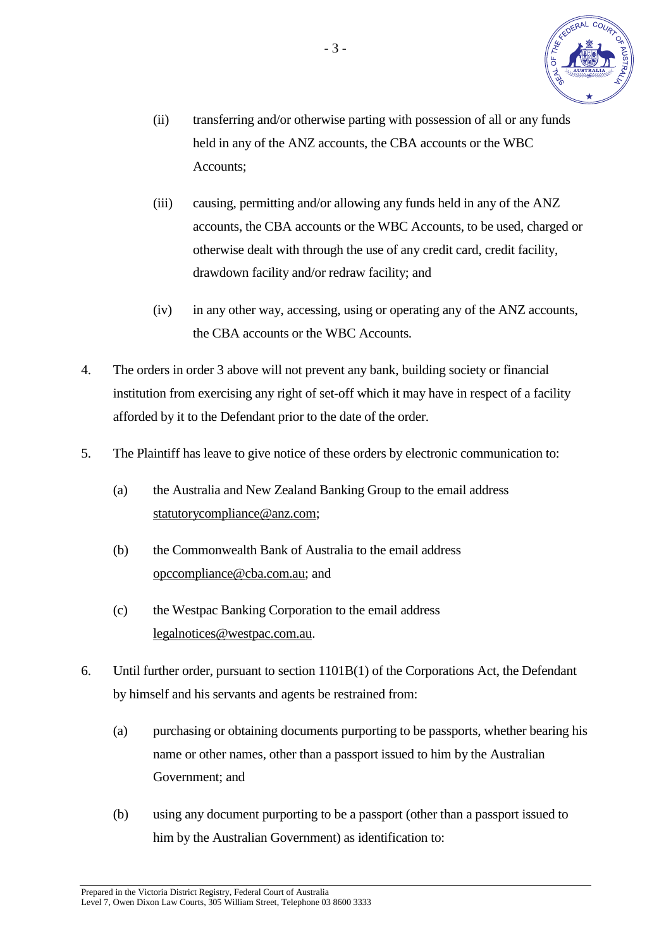

- (ii) transferring and/or otherwise parting with possession of all or any funds held in any of the ANZ accounts, the CBA accounts or the WBC Accounts;
- (iii) causing, permitting and/or allowing any funds held in any of the ANZ accounts, the CBA accounts or the WBC Accounts, to be used, charged or otherwise dealt with through the use of any credit card, credit facility, drawdown facility and/or redraw facility; and
- (iv) in any other way, accessing, using or operating any of the ANZ accounts, the CBA accounts or the WBC Accounts.
- 4. The orders in order 3 above will not prevent any bank, building society or financial institution from exercising any right of set-off which it may have in respect of a facility afforded by it to the Defendant prior to the date of the order.
- 5. The Plaintiff has leave to give notice of these orders by electronic communication to:
	- (a) the Australia and New Zealand Banking Group to the email address statutorycompliance@anz.com;
	- (b) the Commonwealth Bank of Australia to the email address opccompliance@cba.com.au; and
	- (c) the Westpac Banking Corporation to the email address legalnotices@westpac.com.au.
- 6. Until further order, pursuant to section 1101B(1) of the Corporations Act, the Defendant by himself and his servants and agents be restrained from:
	- (a) purchasing or obtaining documents purporting to be passports, whether bearing his name or other names, other than a passport issued to him by the Australian Government; and
	- (b) using any document purporting to be a passport (other than a passport issued to him by the Australian Government) as identification to: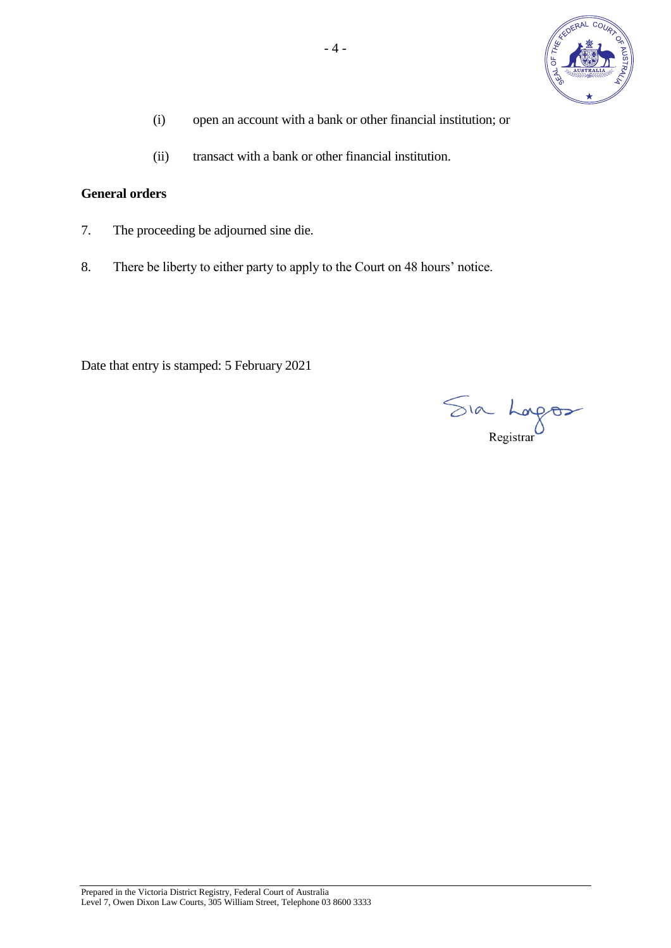

- (i) open an account with a bank or other financial institution; or
- (ii) transact with a bank or other financial institution.

# **General orders**

- 7. The proceeding be adjourned sine die.
- 8. There be liberty to either party to apply to the Court on 48 hours' notice.

Date that entry is stamped: 5 February 2021

Sia Lagos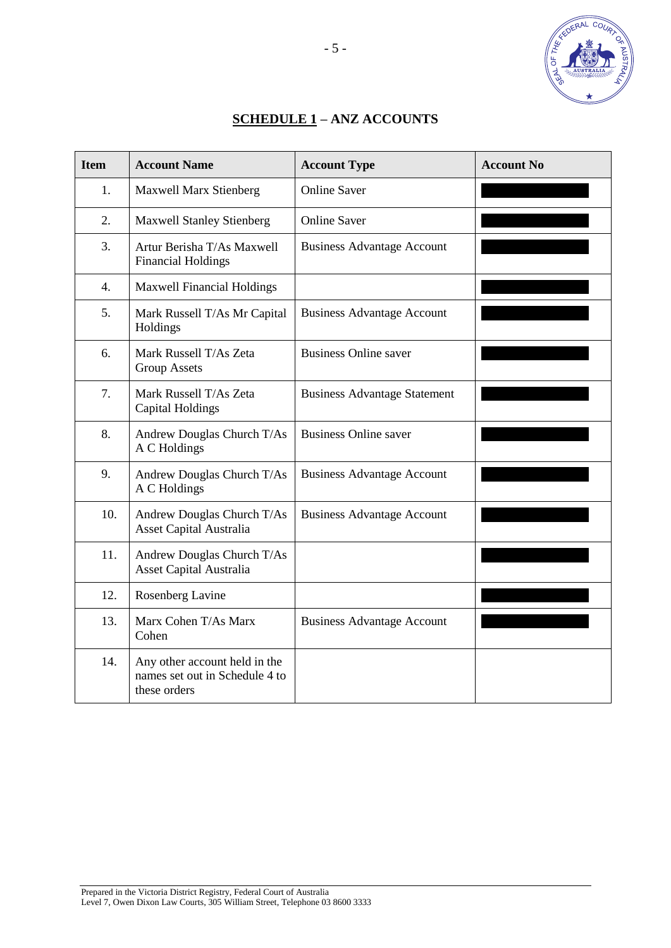

| <b>SCHEDULE 1 – ANZ ACCOUNTS</b> |
|----------------------------------|
|                                  |

| <b>Item</b>      | <b>Account Name</b>                                                             | <b>Account Type</b>                 | <b>Account No</b> |
|------------------|---------------------------------------------------------------------------------|-------------------------------------|-------------------|
| 1.               | <b>Maxwell Marx Stienberg</b>                                                   | <b>Online Saver</b>                 |                   |
| $\overline{2}$ . | <b>Maxwell Stanley Stienberg</b>                                                | <b>Online Saver</b>                 |                   |
| 3.               | Artur Berisha T/As Maxwell<br><b>Financial Holdings</b>                         | <b>Business Advantage Account</b>   |                   |
| 4.               | <b>Maxwell Financial Holdings</b>                                               |                                     |                   |
| 5.               | Mark Russell T/As Mr Capital<br>Holdings                                        | <b>Business Advantage Account</b>   |                   |
| 6.               | Mark Russell T/As Zeta<br><b>Group Assets</b>                                   | <b>Business Online saver</b>        |                   |
| 7.               | Mark Russell T/As Zeta<br><b>Capital Holdings</b>                               | <b>Business Advantage Statement</b> |                   |
| 8.               | Andrew Douglas Church T/As<br>A C Holdings                                      | <b>Business Online saver</b>        |                   |
| 9.               | Andrew Douglas Church T/As<br>A C Holdings                                      | <b>Business Advantage Account</b>   |                   |
| 10.              | Andrew Douglas Church T/As<br>Asset Capital Australia                           | <b>Business Advantage Account</b>   |                   |
| 11.              | Andrew Douglas Church T/As<br><b>Asset Capital Australia</b>                    |                                     |                   |
| 12.              | Rosenberg Lavine                                                                |                                     |                   |
| 13.              | Marx Cohen T/As Marx<br>Cohen                                                   | <b>Business Advantage Account</b>   |                   |
| 14.              | Any other account held in the<br>names set out in Schedule 4 to<br>these orders |                                     |                   |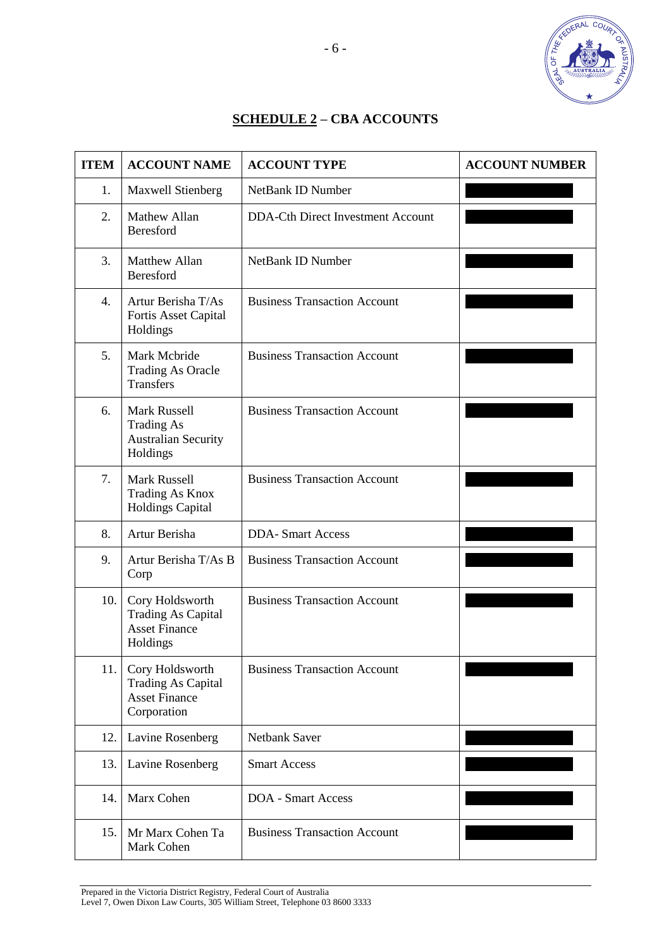

# **SCHEDULE 2 – CBA ACCOUNTS**

| <b>ITEM</b>      | <b>ACCOUNT NAME</b>                                                                 | <b>ACCOUNT TYPE</b>                      | <b>ACCOUNT NUMBER</b> |
|------------------|-------------------------------------------------------------------------------------|------------------------------------------|-----------------------|
| 1.               | Maxwell Stienberg                                                                   | <b>NetBank ID Number</b>                 |                       |
| $\overline{2}$ . | Mathew Allan<br>Beresford                                                           | <b>DDA-Cth Direct Investment Account</b> |                       |
| 3.               | <b>Matthew Allan</b><br>Beresford                                                   | <b>NetBank ID Number</b>                 |                       |
| 4.               | Artur Berisha T/As<br>Fortis Asset Capital<br>Holdings                              | <b>Business Transaction Account</b>      |                       |
| 5.               | Mark Mcbride<br><b>Trading As Oracle</b><br><b>Transfers</b>                        | <b>Business Transaction Account</b>      |                       |
| 6.               | <b>Mark Russell</b><br><b>Trading As</b><br><b>Australian Security</b><br>Holdings  | <b>Business Transaction Account</b>      |                       |
| 7.               | <b>Mark Russell</b><br>Trading As Knox<br><b>Holdings Capital</b>                   | <b>Business Transaction Account</b>      |                       |
| 8.               | Artur Berisha                                                                       | <b>DDA-Smart Access</b>                  |                       |
| 9.               | Artur Berisha T/As B<br>Corp                                                        | <b>Business Transaction Account</b>      |                       |
| 10.              | Cory Holdsworth<br><b>Trading As Capital</b><br><b>Asset Finance</b><br>Holdings    | <b>Business Transaction Account</b>      |                       |
| 11.              | Cory Holdsworth<br><b>Trading As Capital</b><br><b>Asset Finance</b><br>Corporation | <b>Business Transaction Account</b>      |                       |
| 12.              | Lavine Rosenberg                                                                    | <b>Netbank Saver</b>                     |                       |
| 13.              | Lavine Rosenberg                                                                    | <b>Smart Access</b>                      |                       |
| 14.              | Marx Cohen                                                                          | <b>DOA</b> - Smart Access                |                       |
| 15.              | Mr Marx Cohen Ta<br>Mark Cohen                                                      | <b>Business Transaction Account</b>      |                       |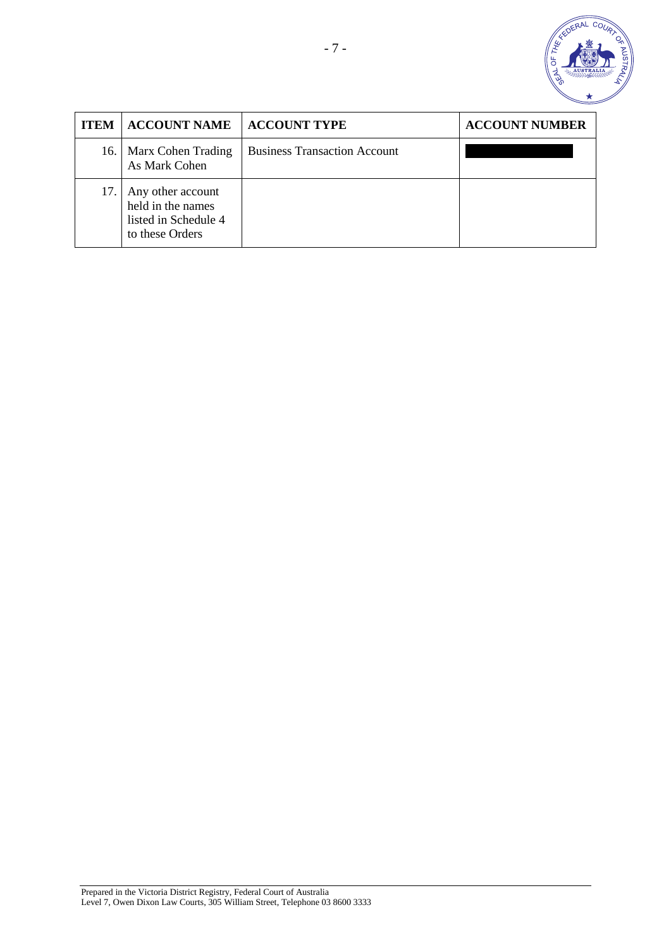

| <b>ITEM</b> | <b>ACCOUNT NAME</b>                                                               | <b>ACCOUNT TYPE</b>                 | <b>ACCOUNT NUMBER</b> |
|-------------|-----------------------------------------------------------------------------------|-------------------------------------|-----------------------|
|             | 16.   Marx Cohen Trading<br>As Mark Cohen                                         | <b>Business Transaction Account</b> |                       |
| 17.         | Any other account<br>held in the names<br>listed in Schedule 4<br>to these Orders |                                     |                       |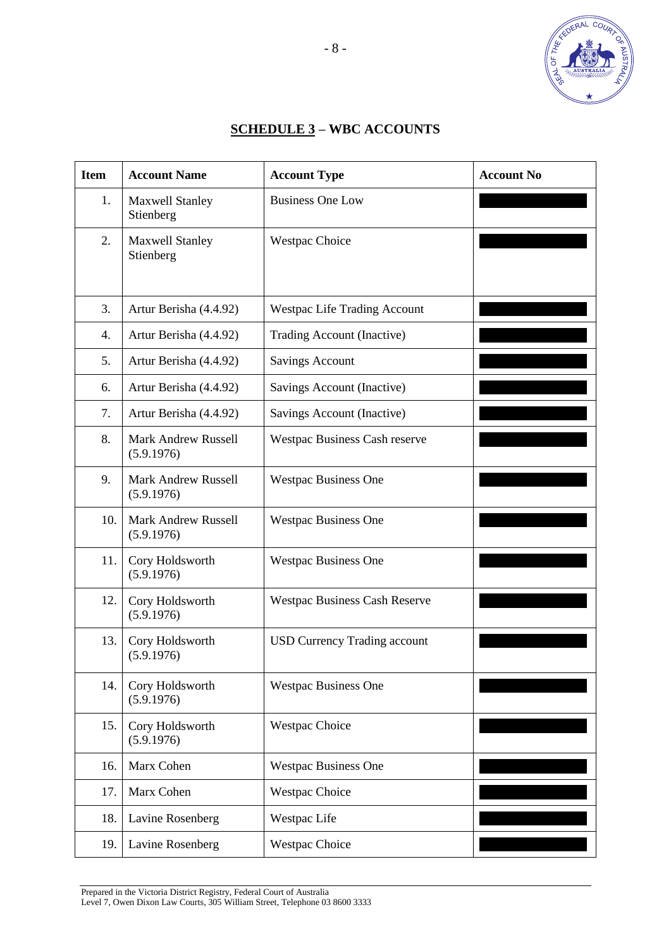

# **SCHEDULE 3 – WBC ACCOUNTS**

| <b>Item</b> | <b>Account Name</b>                      | <b>Account Type</b>                  | <b>Account No</b> |
|-------------|------------------------------------------|--------------------------------------|-------------------|
| 1.          | <b>Maxwell Stanley</b><br>Stienberg      | <b>Business One Low</b>              |                   |
| 2.          | <b>Maxwell Stanley</b><br>Stienberg      | <b>Westpac Choice</b>                |                   |
| 3.          | Artur Berisha (4.4.92)                   | <b>Westpac Life Trading Account</b>  |                   |
| 4.          | Artur Berisha (4.4.92)                   | Trading Account (Inactive)           |                   |
| 5.          | Artur Berisha (4.4.92)                   | <b>Savings Account</b>               |                   |
| 6.          | Artur Berisha (4.4.92)                   | Savings Account (Inactive)           |                   |
| 7.          | Artur Berisha (4.4.92)                   | Savings Account (Inactive)           |                   |
| 8.          | <b>Mark Andrew Russell</b><br>(5.9.1976) | Westpac Business Cash reserve        |                   |
| 9.          | <b>Mark Andrew Russell</b><br>(5.9.1976) | <b>Westpac Business One</b>          |                   |
| 10.         | <b>Mark Andrew Russell</b><br>(5.9.1976) | <b>Westpac Business One</b>          |                   |
| 11.         | Cory Holdsworth<br>(5.9.1976)            | <b>Westpac Business One</b>          |                   |
| 12.         | Cory Holdsworth<br>(5.9.1976)            | <b>Westpac Business Cash Reserve</b> |                   |
| 13.         | Cory Holdsworth<br>(5.9.1976)            | <b>USD Currency Trading account</b>  |                   |
| 14.         | Cory Holdsworth<br>(5.9.1976)            | <b>Westpac Business One</b>          |                   |
| 15.         | Cory Holdsworth<br>(5.9.1976)            | <b>Westpac Choice</b>                |                   |
| 16.         | Marx Cohen                               | <b>Westpac Business One</b>          |                   |
| 17.         | Marx Cohen                               | <b>Westpac Choice</b>                |                   |
| 18.         | Lavine Rosenberg                         | Westpac Life                         |                   |
| 19.         | Lavine Rosenberg                         | <b>Westpac Choice</b>                |                   |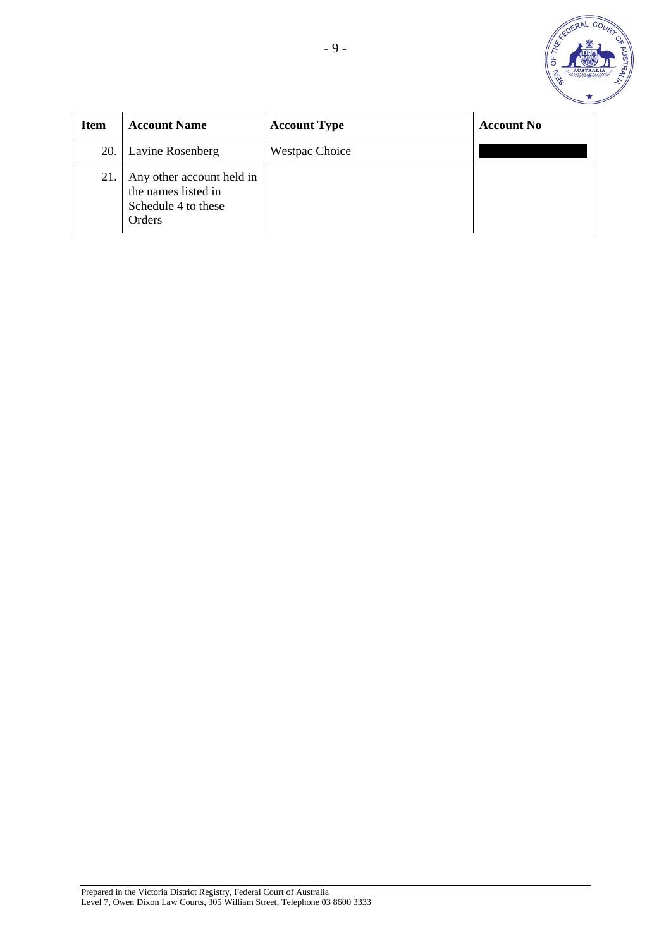![](_page_8_Picture_0.jpeg)

| <b>Item</b> | <b>Account Name</b>                                                               | <b>Account Type</b>   | <b>Account No</b> |
|-------------|-----------------------------------------------------------------------------------|-----------------------|-------------------|
|             | 20. Lavine Rosenberg                                                              | <b>Westpac Choice</b> |                   |
| 21.         | Any other account held in<br>the names listed in<br>Schedule 4 to these<br>Orders |                       |                   |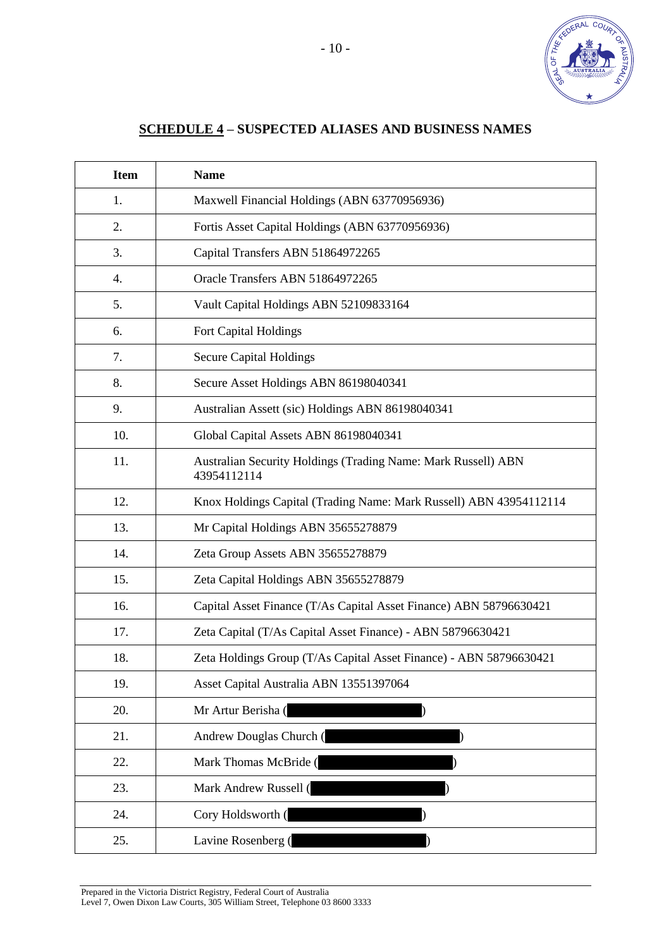![](_page_9_Picture_0.jpeg)

# **SCHEDULE 4 – SUSPECTED ALIASES AND BUSINESS NAMES**

| <b>Item</b> | <b>Name</b>                                                                  |
|-------------|------------------------------------------------------------------------------|
| 1.          | Maxwell Financial Holdings (ABN 63770956936)                                 |
| 2.          | Fortis Asset Capital Holdings (ABN 63770956936)                              |
| 3.          | Capital Transfers ABN 51864972265                                            |
| 4.          | Oracle Transfers ABN 51864972265                                             |
| 5.          | Vault Capital Holdings ABN 52109833164                                       |
| 6.          | Fort Capital Holdings                                                        |
| 7.          | <b>Secure Capital Holdings</b>                                               |
| 8.          | Secure Asset Holdings ABN 86198040341                                        |
| 9.          | Australian Assett (sic) Holdings ABN 86198040341                             |
| 10.         | Global Capital Assets ABN 86198040341                                        |
| 11.         | Australian Security Holdings (Trading Name: Mark Russell) ABN<br>43954112114 |
| 12.         | Knox Holdings Capital (Trading Name: Mark Russell) ABN 43954112114           |
| 13.         | Mr Capital Holdings ABN 35655278879                                          |
| 14.         | Zeta Group Assets ABN 35655278879                                            |
| 15.         | Zeta Capital Holdings ABN 35655278879                                        |
| 16.         | Capital Asset Finance (T/As Capital Asset Finance) ABN 58796630421           |
| 17.         | Zeta Capital (T/As Capital Asset Finance) - ABN 58796630421                  |
| 18.         | Zeta Holdings Group (T/As Capital Asset Finance) - ABN 58796630421           |
| 19.         | Asset Capital Australia ABN 13551397064                                      |
| 20.         | Mr Artur Berisha (                                                           |
| 21.         | Andrew Douglas Church (                                                      |
| 22.         | Mark Thomas McBride (                                                        |
| 23.         | Mark Andrew Russell (                                                        |
| 24.         | Cory Holdsworth (                                                            |
| 25.         | Lavine Rosenberg (                                                           |